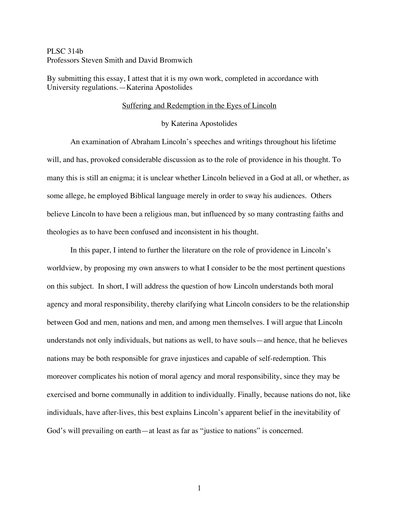# PLSC 314b Professors Steven Smith and David Bromwich

By submitting this essay, I attest that it is my own work, completed in accordance with University regulations.—Katerina Apostolides

### Suffering and Redemption in the Eyes of Lincoln

### by Katerina Apostolides

An examination of Abraham Lincoln's speeches and writings throughout his lifetime will, and has, provoked considerable discussion as to the role of providence in his thought. To many this is still an enigma; it is unclear whether Lincoln believed in a God at all, or whether, as some allege, he employed Biblical language merely in order to sway his audiences. Others believe Lincoln to have been a religious man, but influenced by so many contrasting faiths and theologies as to have been confused and inconsistent in his thought.

In this paper, I intend to further the literature on the role of providence in Lincoln's worldview, by proposing my own answers to what I consider to be the most pertinent questions on this subject. In short, I will address the question of how Lincoln understands both moral agency and moral responsibility, thereby clarifying what Lincoln considers to be the relationship between God and men, nations and men, and among men themselves. I will argue that Lincoln understands not only individuals, but nations as well, to have souls—and hence, that he believes nations may be both responsible for grave injustices and capable of self-redemption. This moreover complicates his notion of moral agency and moral responsibility, since they may be exercised and borne communally in addition to individually. Finally, because nations do not, like individuals, have after-lives, this best explains Lincoln's apparent belief in the inevitability of God's will prevailing on earth—at least as far as "justice to nations" is concerned.

1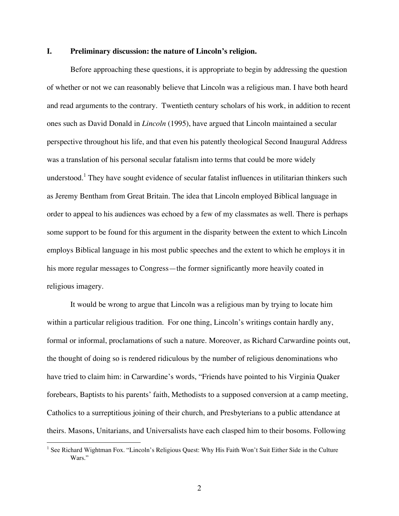## **I. Preliminary discussion: the nature of Lincoln's religion.**

Before approaching these questions, it is appropriate to begin by addressing the question of whether or not we can reasonably believe that Lincoln was a religious man. I have both heard and read arguments to the contrary. Twentieth century scholars of his work, in addition to recent ones such as David Donald in *Lincoln* (1995), have argued that Lincoln maintained a secular perspective throughout his life, and that even his patently theological Second Inaugural Address was a translation of his personal secular fatalism into terms that could be more widely understood.<sup>1</sup> They have sought evidence of secular fatalist influences in utilitarian thinkers such as Jeremy Bentham from Great Britain. The idea that Lincoln employed Biblical language in order to appeal to his audiences was echoed by a few of my classmates as well. There is perhaps some support to be found for this argument in the disparity between the extent to which Lincoln employs Biblical language in his most public speeches and the extent to which he employs it in his more regular messages to Congress—the former significantly more heavily coated in religious imagery.

It would be wrong to argue that Lincoln was a religious man by trying to locate him within a particular religious tradition. For one thing, Lincoln's writings contain hardly any, formal or informal, proclamations of such a nature. Moreover, as Richard Carwardine points out, the thought of doing so is rendered ridiculous by the number of religious denominations who have tried to claim him: in Carwardine's words, "Friends have pointed to his Virginia Quaker forebears, Baptists to his parents' faith, Methodists to a supposed conversion at a camp meeting, Catholics to a surreptitious joining of their church, and Presbyterians to a public attendance at theirs. Masons, Unitarians, and Universalists have each clasped him to their bosoms. Following

<sup>&</sup>lt;sup>1</sup> See Richard Wightman Fox. "Lincoln's Religious Quest: Why His Faith Won't Suit Either Side in the Culture Wars."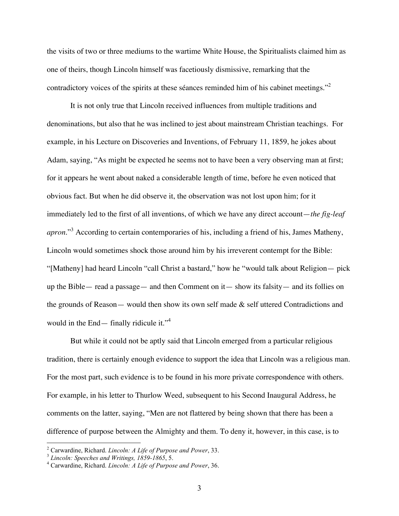the visits of two or three mediums to the wartime White House, the Spiritualists claimed him as one of theirs, though Lincoln himself was facetiously dismissive, remarking that the contradictory voices of the spirits at these séances reminded him of his cabinet meetings."<sup>2</sup>

It is not only true that Lincoln received influences from multiple traditions and denominations, but also that he was inclined to jest about mainstream Christian teachings. For example, in his Lecture on Discoveries and Inventions, of February 11, 1859, he jokes about Adam, saying, "As might be expected he seems not to have been a very observing man at first; for it appears he went about naked a considerable length of time, before he even noticed that obvious fact. But when he did observe it, the observation was not lost upon him; for it immediately led to the first of all inventions, of which we have any direct account—*the fig-leaf apron*."<sup>3</sup> According to certain contemporaries of his, including a friend of his, James Matheny, Lincoln would sometimes shock those around him by his irreverent contempt for the Bible: "[Matheny] had heard Lincoln "call Christ a bastard," how he "would talk about Religion— pick up the Bible— read a passage— and then Comment on it— show its falsity— and its follies on the grounds of Reason— would then show its own self made & self uttered Contradictions and would in the End— finally ridicule it."<sup>4</sup>

But while it could not be aptly said that Lincoln emerged from a particular religious tradition, there is certainly enough evidence to support the idea that Lincoln was a religious man. For the most part, such evidence is to be found in his more private correspondence with others. For example, in his letter to Thurlow Weed, subsequent to his Second Inaugural Address, he comments on the latter, saying, "Men are not flattered by being shown that there has been a difference of purpose between the Almighty and them. To deny it, however, in this case, is to

<sup>&</sup>lt;sup>2</sup> Carwardine, Richard. *Lincoln: A Life of Purpose and Power*, 33.<br><sup>3</sup> *Lincoln: Speeches and Writings, 1859-1865*, 5.<br><sup>4</sup> Carwardine, Richard. *Lincoln: A Life of Purpose and Power*, 36.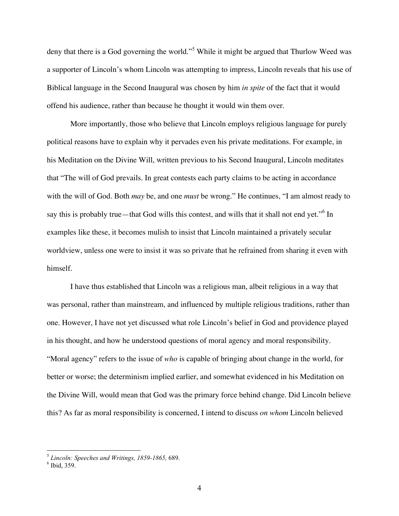deny that there is a God governing the world."<sup>5</sup> While it might be argued that Thurlow Weed was a supporter of Lincoln's whom Lincoln was attempting to impress, Lincoln reveals that his use of Biblical language in the Second Inaugural was chosen by him *in spite* of the fact that it would offend his audience, rather than because he thought it would win them over.

More importantly, those who believe that Lincoln employs religious language for purely political reasons have to explain why it pervades even his private meditations. For example, in his Meditation on the Divine Will, written previous to his Second Inaugural, Lincoln meditates that "The will of God prevails. In great contests each party claims to be acting in accordance with the will of God. Both *may* be, and one *must* be wrong." He continues, "I am almost ready to say this is probably true—that God wills this contest, and wills that it shall not end yet."<sup>6</sup> In examples like these, it becomes mulish to insist that Lincoln maintained a privately secular worldview, unless one were to insist it was so private that he refrained from sharing it even with himself.

I have thus established that Lincoln was a religious man, albeit religious in a way that was personal, rather than mainstream, and influenced by multiple religious traditions, rather than one. However, I have not yet discussed what role Lincoln's belief in God and providence played in his thought, and how he understood questions of moral agency and moral responsibility. "Moral agency" refers to the issue of *who* is capable of bringing about change in the world, for better or worse; the determinism implied earlier, and somewhat evidenced in his Meditation on the Divine Will, would mean that God was the primary force behind change. Did Lincoln believe this? As far as moral responsibility is concerned, I intend to discuss *on whom* Lincoln believed

<sup>5</sup> *Lincoln: Speeches and Writings, 1859-1865,* 689. <sup>6</sup> Ibid, 359.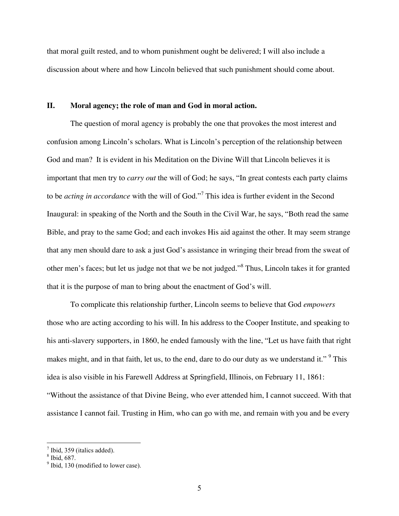that moral guilt rested, and to whom punishment ought be delivered; I will also include a discussion about where and how Lincoln believed that such punishment should come about.

## **II. Moral agency; the role of man and God in moral action.**

The question of moral agency is probably the one that provokes the most interest and confusion among Lincoln's scholars. What is Lincoln's perception of the relationship between God and man? It is evident in his Meditation on the Divine Will that Lincoln believes it is important that men try to *carry out* the will of God; he says, "In great contests each party claims to be *acting in accordance* with the will of God."<sup>7</sup> This idea is further evident in the Second Inaugural: in speaking of the North and the South in the Civil War, he says, "Both read the same Bible, and pray to the same God; and each invokes His aid against the other. It may seem strange that any men should dare to ask a just God's assistance in wringing their bread from the sweat of other men's faces; but let us judge not that we be not judged."<sup>8</sup> Thus, Lincoln takes it for granted that it is the purpose of man to bring about the enactment of God's will.

To complicate this relationship further, Lincoln seems to believe that God *empowers* those who are acting according to his will. In his address to the Cooper Institute, and speaking to his anti-slavery supporters, in 1860, he ended famously with the line, "Let us have faith that right makes might, and in that faith, let us, to the end, dare to do our duty as we understand it." <sup>9</sup> This idea is also visible in his Farewell Address at Springfield, Illinois, on February 11, 1861: "Without the assistance of that Divine Being, who ever attended him, I cannot succeed. With that assistance I cannot fail. Trusting in Him, who can go with me, and remain with you and be every

 $\frac{7}{8}$  Ibid, 359 (italics added).<br> $\frac{8}{9}$  Ibid, 687.<br> $\frac{9}{9}$  Ibid, 130 (modified to lower case).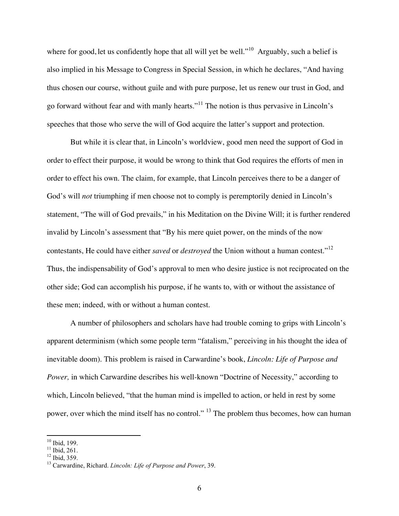where for good, let us confidently hope that all will yet be well."<sup>10</sup> Arguably, such a belief is also implied in his Message to Congress in Special Session, in which he declares, "And having thus chosen our course, without guile and with pure purpose, let us renew our trust in God, and go forward without fear and with manly hearts."<sup>11</sup> The notion is thus pervasive in Lincoln's speeches that those who serve the will of God acquire the latter's support and protection.

But while it is clear that, in Lincoln's worldview, good men need the support of God in order to effect their purpose, it would be wrong to think that God requires the efforts of men in order to effect his own. The claim, for example, that Lincoln perceives there to be a danger of God's will *not* triumphing if men choose not to comply is peremptorily denied in Lincoln's statement, "The will of God prevails," in his Meditation on the Divine Will; it is further rendered invalid by Lincoln's assessment that "By his mere quiet power, on the minds of the now contestants, He could have either *saved* or *destroyed* the Union without a human contest."<sup>12</sup> Thus, the indispensability of God's approval to men who desire justice is not reciprocated on the other side; God can accomplish his purpose, if he wants to, with or without the assistance of these men; indeed, with or without a human contest.

A number of philosophers and scholars have had trouble coming to grips with Lincoln's apparent determinism (which some people term "fatalism," perceiving in his thought the idea of inevitable doom). This problem is raised in Carwardine's book, *Lincoln: Life of Purpose and Power,* in which Carwardine describes his well-known "Doctrine of Necessity," according to which, Lincoln believed, "that the human mind is impelled to action, or held in rest by some power, over which the mind itself has no control."<sup>13</sup> The problem thus becomes, how can human

<sup>10</sup> Ibid, 199. <sup>11</sup> Ibid, 261. <sup>12</sup> Ibid, 359. <sup>13</sup> Carwardine, Richard. *Lincoln: Life of Purpose and Power*, 39.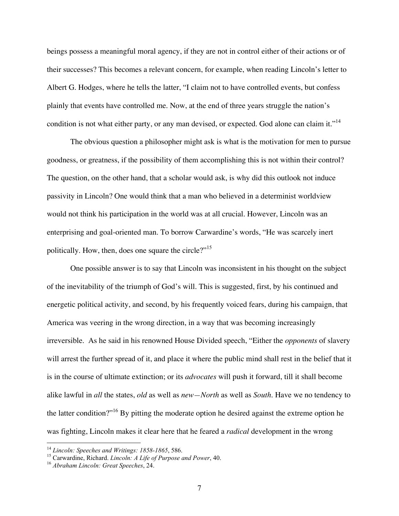beings possess a meaningful moral agency, if they are not in control either of their actions or of their successes? This becomes a relevant concern, for example, when reading Lincoln's letter to Albert G. Hodges, where he tells the latter, "I claim not to have controlled events, but confess plainly that events have controlled me. Now, at the end of three years struggle the nation's condition is not what either party, or any man devised, or expected. God alone can claim it."<sup>14</sup>

The obvious question a philosopher might ask is what is the motivation for men to pursue goodness, or greatness, if the possibility of them accomplishing this is not within their control? The question, on the other hand, that a scholar would ask, is why did this outlook not induce passivity in Lincoln? One would think that a man who believed in a determinist worldview would not think his participation in the world was at all crucial. However, Lincoln was an enterprising and goal-oriented man. To borrow Carwardine's words, "He was scarcely inert politically. How, then, does one square the circle?"<sup>15</sup>

One possible answer is to say that Lincoln was inconsistent in his thought on the subject of the inevitability of the triumph of God's will. This is suggested, first, by his continued and energetic political activity, and second, by his frequently voiced fears, during his campaign, that America was veering in the wrong direction, in a way that was becoming increasingly irreversible. As he said in his renowned House Divided speech, "Either the *opponents* of slavery will arrest the further spread of it, and place it where the public mind shall rest in the belief that it is in the course of ultimate extinction; or its *advocates* will push it forward, till it shall become alike lawful in *all* the states, *old* as well as *new—North* as well as *South.* Have we no tendency to the latter condition?"<sup>16</sup> By pitting the moderate option he desired against the extreme option he was fighting, Lincoln makes it clear here that he feared a *radical* development in the wrong

<sup>&</sup>lt;sup>14</sup> Lincoln: Speeches and Writings: 1858-1865, 586.<br><sup>15</sup> Carwardine, Richard. *Lincoln: A Life of Purpose and Power*, 40.<br><sup>16</sup> Abraham Lincoln: Great Speeches, 24.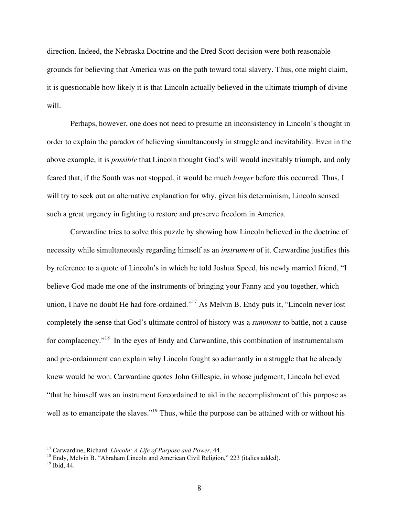direction. Indeed, the Nebraska Doctrine and the Dred Scott decision were both reasonable grounds for believing that America was on the path toward total slavery. Thus, one might claim, it is questionable how likely it is that Lincoln actually believed in the ultimate triumph of divine will.

Perhaps, however, one does not need to presume an inconsistency in Lincoln's thought in order to explain the paradox of believing simultaneously in struggle and inevitability. Even in the above example, it is *possible* that Lincoln thought God's will would inevitably triumph, and only feared that, if the South was not stopped, it would be much *longer* before this occurred. Thus, I will try to seek out an alternative explanation for why, given his determinism, Lincoln sensed such a great urgency in fighting to restore and preserve freedom in America.

Carwardine tries to solve this puzzle by showing how Lincoln believed in the doctrine of necessity while simultaneously regarding himself as an *instrument* of it. Carwardine justifies this by reference to a quote of Lincoln's in which he told Joshua Speed, his newly married friend, "I believe God made me one of the instruments of bringing your Fanny and you together, which union, I have no doubt He had fore-ordained."<sup>17</sup> As Melvin B. Endy puts it, "Lincoln never lost completely the sense that God's ultimate control of history was a *summons* to battle, not a cause for complacency."<sup>18</sup> In the eyes of Endy and Carwardine, this combination of instrumentalism and pre-ordainment can explain why Lincoln fought so adamantly in a struggle that he already knew would be won. Carwardine quotes John Gillespie, in whose judgment, Lincoln believed "that he himself was an instrument foreordained to aid in the accomplishment of this purpose as well as to emancipate the slaves."<sup>19</sup> Thus, while the purpose can be attained with or without his

<sup>&</sup>lt;sup>17</sup> Carwardine, Richard. *Lincoln: A Life of Purpose and Power*, 44.<br><sup>18</sup> Endy, Melvin B. "Abraham Lincoln and American Civil Religion," 223 (italics added).<br><sup>19</sup> Ibid. 44.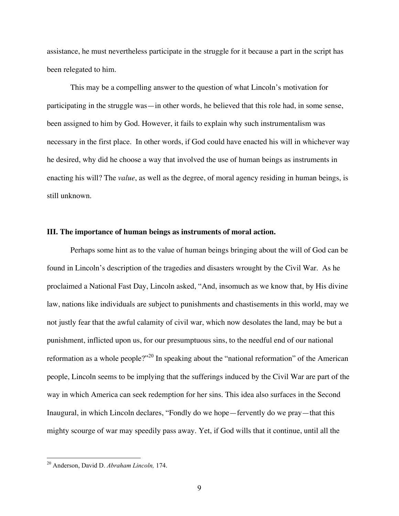assistance, he must nevertheless participate in the struggle for it because a part in the script has been relegated to him.

This may be a compelling answer to the question of what Lincoln's motivation for participating in the struggle was—in other words, he believed that this role had, in some sense, been assigned to him by God. However, it fails to explain why such instrumentalism was necessary in the first place. In other words, if God could have enacted his will in whichever way he desired, why did he choose a way that involved the use of human beings as instruments in enacting his will? The *value*, as well as the degree, of moral agency residing in human beings, is still unknown.

#### **III. The importance of human beings as instruments of moral action.**

Perhaps some hint as to the value of human beings bringing about the will of God can be found in Lincoln's description of the tragedies and disasters wrought by the Civil War. As he proclaimed a National Fast Day, Lincoln asked, "And, insomuch as we know that, by His divine law, nations like individuals are subject to punishments and chastisements in this world, may we not justly fear that the awful calamity of civil war, which now desolates the land, may be but a punishment, inflicted upon us, for our presumptuous sins, to the needful end of our national reformation as a whole people?"<sup>20</sup> In speaking about the "national reformation" of the American people, Lincoln seems to be implying that the sufferings induced by the Civil War are part of the way in which America can seek redemption for her sins. This idea also surfaces in the Second Inaugural, in which Lincoln declares, "Fondly do we hope—fervently do we pray—that this mighty scourge of war may speedily pass away. Yet, if God wills that it continue, until all the

 <sup>20</sup> Anderson, David D. *Abraham Lincoln,* 174.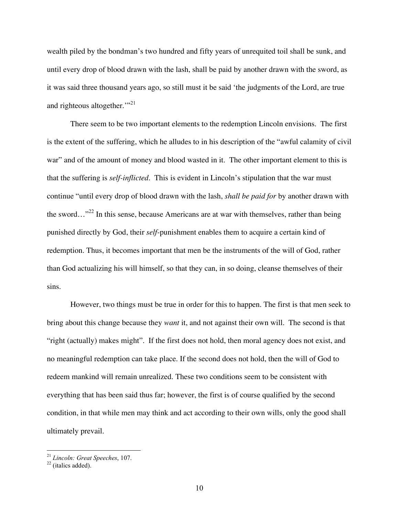wealth piled by the bondman's two hundred and fifty years of unrequited toil shall be sunk, and until every drop of blood drawn with the lash, shall be paid by another drawn with the sword, as it was said three thousand years ago, so still must it be said 'the judgments of the Lord, are true and righteous altogether."<sup>21</sup>

There seem to be two important elements to the redemption Lincoln envisions. The first is the extent of the suffering, which he alludes to in his description of the "awful calamity of civil war" and of the amount of money and blood wasted in it. The other important element to this is that the suffering is *self-inflicted*. This is evident in Lincoln's stipulation that the war must continue "until every drop of blood drawn with the lash, *shall be paid for* by another drawn with the sword…"<sup>22</sup> In this sense, because Americans are at war with themselves, rather than being punished directly by God, their *self*-punishment enables them to acquire a certain kind of redemption. Thus, it becomes important that men be the instruments of the will of God, rather than God actualizing his will himself, so that they can, in so doing, cleanse themselves of their sins.

However, two things must be true in order for this to happen. The first is that men seek to bring about this change because they *want* it, and not against their own will. The second is that "right (actually) makes might". If the first does not hold, then moral agency does not exist, and no meaningful redemption can take place. If the second does not hold, then the will of God to redeem mankind will remain unrealized. These two conditions seem to be consistent with everything that has been said thus far; however, the first is of course qualified by the second condition, in that while men may think and act according to their own wills, only the good shall ultimately prevail.

<sup>21</sup> *Lincoln: Great Speeches*, 107. <sup>22</sup> (italics added).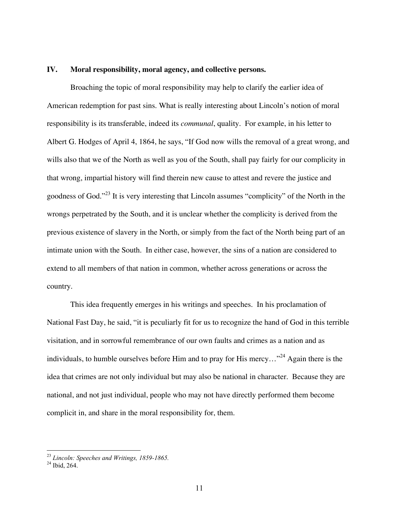# **IV. Moral responsibility, moral agency, and collective persons.**

Broaching the topic of moral responsibility may help to clarify the earlier idea of American redemption for past sins. What is really interesting about Lincoln's notion of moral responsibility is its transferable, indeed its *communal*, quality. For example, in his letter to Albert G. Hodges of April 4, 1864, he says, "If God now wills the removal of a great wrong, and wills also that we of the North as well as you of the South, shall pay fairly for our complicity in that wrong, impartial history will find therein new cause to attest and revere the justice and goodness of God."<sup>23</sup> It is very interesting that Lincoln assumes "complicity" of the North in the wrongs perpetrated by the South, and it is unclear whether the complicity is derived from the previous existence of slavery in the North, or simply from the fact of the North being part of an intimate union with the South. In either case, however, the sins of a nation are considered to extend to all members of that nation in common, whether across generations or across the country.

This idea frequently emerges in his writings and speeches. In his proclamation of National Fast Day, he said, "it is peculiarly fit for us to recognize the hand of God in this terrible visitation, and in sorrowful remembrance of our own faults and crimes as a nation and as individuals, to humble ourselves before Him and to pray for His mercy..."<sup>24</sup> Again there is the idea that crimes are not only individual but may also be national in character. Because they are national, and not just individual, people who may not have directly performed them become complicit in, and share in the moral responsibility for, them.

<sup>23</sup> *Lincoln: Speeches and Writings, 1859-1865.* <sup>24</sup> Ibid, 264.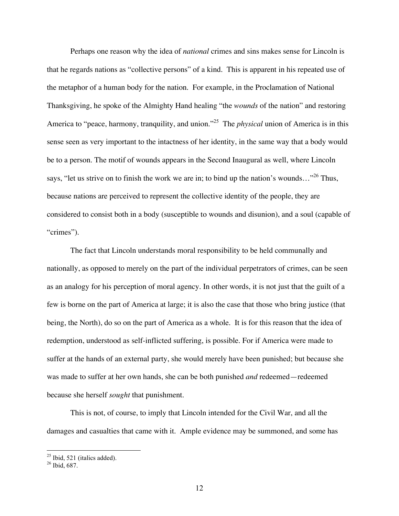Perhaps one reason why the idea of *national* crimes and sins makes sense for Lincoln is that he regards nations as "collective persons" of a kind. This is apparent in his repeated use of the metaphor of a human body for the nation. For example, in the Proclamation of National Thanksgiving, he spoke of the Almighty Hand healing "the *wounds* of the nation" and restoring America to "peace, harmony, tranquility, and union."<sup>25</sup> The *physical* union of America is in this sense seen as very important to the intactness of her identity, in the same way that a body would be to a person. The motif of wounds appears in the Second Inaugural as well, where Lincoln says, "let us strive on to finish the work we are in; to bind up the nation's wounds..."<sup>26</sup> Thus, because nations are perceived to represent the collective identity of the people, they are considered to consist both in a body (susceptible to wounds and disunion), and a soul (capable of "crimes").

The fact that Lincoln understands moral responsibility to be held communally and nationally, as opposed to merely on the part of the individual perpetrators of crimes, can be seen as an analogy for his perception of moral agency. In other words, it is not just that the guilt of a few is borne on the part of America at large; it is also the case that those who bring justice (that being, the North), do so on the part of America as a whole. It is for this reason that the idea of redemption, understood as self-inflicted suffering, is possible. For if America were made to suffer at the hands of an external party, she would merely have been punished; but because she was made to suffer at her own hands, she can be both punished *and* redeemed—redeemed because she herself *sought* that punishment.

This is not, of course, to imply that Lincoln intended for the Civil War, and all the damages and casualties that came with it. Ample evidence may be summoned, and some has

 $\frac{25}{26}$  Ibid, 521 (italics added).<br> $\frac{26}{26}$  Ibid, 687.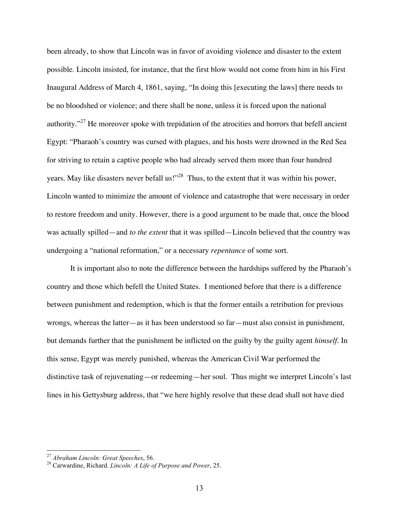been already, to show that Lincoln was in favor of avoiding violence and disaster to the extent possible. Lincoln insisted, for instance, that the first blow would not come from him in his First Inaugural Address of March 4, 1861, saying, "In doing this [executing the laws] there needs to be no bloodshed or violence; and there shall be none, unless it is forced upon the national authority."<sup>27</sup> He moreover spoke with trepidation of the atrocities and horrors that befell ancient Egypt: "Pharaoh's country was cursed with plagues, and his hosts were drowned in the Red Sea for striving to retain a captive people who had already served them more than four hundred years. May like disasters never befall us!"<sup>28</sup> Thus, to the extent that it was within his power, Lincoln wanted to minimize the amount of violence and catastrophe that were necessary in order to restore freedom and unity. However, there is a good argument to be made that, once the blood was actually spilled—and *to the extent* that it was spilled—Lincoln believed that the country was undergoing a "national reformation," or a necessary *repentance* of some sort.

It is important also to note the difference between the hardships suffered by the Pharaoh's country and those which befell the United States. I mentioned before that there is a difference between punishment and redemption, which is that the former entails a retribution for previous wrongs, whereas the latter—as it has been understood so far—must also consist in punishment, but demands further that the punishment be inflicted on the guilty by the guilty agent *himself.* In this sense, Egypt was merely punished, whereas the American Civil War performed the distinctive task of rejuvenating—or redeeming—her soul. Thus might we interpret Lincoln's last lines in his Gettysburg address, that "we here highly resolve that these dead shall not have died

<sup>27</sup> *Abraham Lincoln: Great Speeches*, 56. <sup>28</sup> Carwardine, Richard. *Lincoln: <sup>A</sup> Life of Purpose and Power*, 25.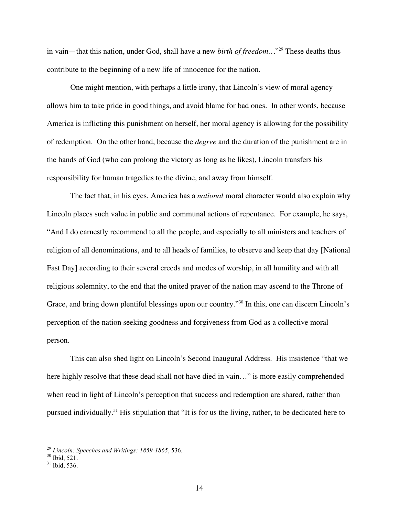in vain—that this nation, under God, shall have a new *birth of freedom*...<sup>"29</sup> These deaths thus contribute to the beginning of a new life of innocence for the nation.

One might mention, with perhaps a little irony, that Lincoln's view of moral agency allows him to take pride in good things, and avoid blame for bad ones. In other words, because America is inflicting this punishment on herself, her moral agency is allowing for the possibility of redemption. On the other hand, because the *degree* and the duration of the punishment are in the hands of God (who can prolong the victory as long as he likes), Lincoln transfers his responsibility for human tragedies to the divine, and away from himself.

The fact that, in his eyes, America has a *national* moral character would also explain why Lincoln places such value in public and communal actions of repentance. For example, he says, "And I do earnestly recommend to all the people, and especially to all ministers and teachers of religion of all denominations, and to all heads of families, to observe and keep that day [National Fast Day] according to their several creeds and modes of worship, in all humility and with all religious solemnity, to the end that the united prayer of the nation may ascend to the Throne of Grace, and bring down plentiful blessings upon our country."<sup>30</sup> In this, one can discern Lincoln's perception of the nation seeking goodness and forgiveness from God as a collective moral person.

This can also shed light on Lincoln's Second Inaugural Address. His insistence "that we here highly resolve that these dead shall not have died in vain..." is more easily comprehended when read in light of Lincoln's perception that success and redemption are shared, rather than pursued individually.31 His stipulation that "It is for us the living, rather, to be dedicated here to

<sup>29</sup> *Lincoln: Speeches and Writings: 1859-1865*, 536. <sup>30</sup> Ibid, 521. <sup>31</sup> Ibid, 536.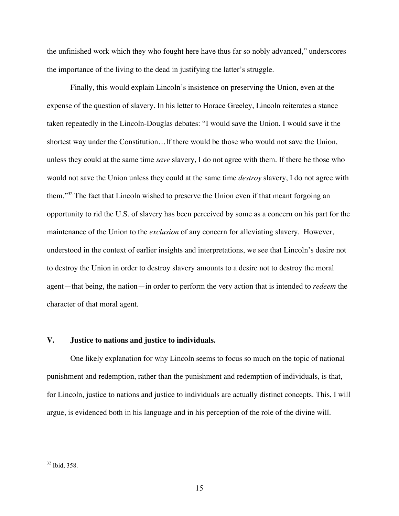the unfinished work which they who fought here have thus far so nobly advanced," underscores the importance of the living to the dead in justifying the latter's struggle.

Finally, this would explain Lincoln's insistence on preserving the Union, even at the expense of the question of slavery. In his letter to Horace Greeley, Lincoln reiterates a stance taken repeatedly in the Lincoln-Douglas debates: "I would save the Union. I would save it the shortest way under the Constitution…If there would be those who would not save the Union, unless they could at the same time *save* slavery, I do not agree with them. If there be those who would not save the Union unless they could at the same time *destroy* slavery, I do not agree with them."32 The fact that Lincoln wished to preserve the Union even if that meant forgoing an opportunity to rid the U.S. of slavery has been perceived by some as a concern on his part for the maintenance of the Union to the *exclusion* of any concern for alleviating slavery. However, understood in the context of earlier insights and interpretations, we see that Lincoln's desire not to destroy the Union in order to destroy slavery amounts to a desire not to destroy the moral agent—that being, the nation—in order to perform the very action that is intended to *redeem* the character of that moral agent.

# **V. Justice to nations and justice to individuals.**

One likely explanation for why Lincoln seems to focus so much on the topic of national punishment and redemption, rather than the punishment and redemption of individuals, is that, for Lincoln, justice to nations and justice to individuals are actually distinct concepts. This, I will argue, is evidenced both in his language and in his perception of the role of the divine will.

 <sup>32</sup> Ibid, 358.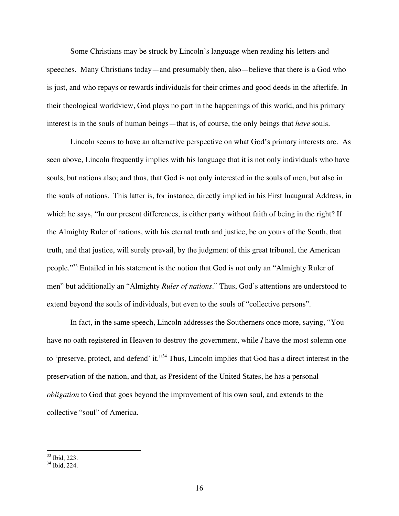Some Christians may be struck by Lincoln's language when reading his letters and speeches. Many Christians today—and presumably then, also—believe that there is a God who is just, and who repays or rewards individuals for their crimes and good deeds in the afterlife. In their theological worldview, God plays no part in the happenings of this world, and his primary interest is in the souls of human beings—that is, of course, the only beings that *have* souls.

Lincoln seems to have an alternative perspective on what God's primary interests are. As seen above, Lincoln frequently implies with his language that it is not only individuals who have souls, but nations also; and thus, that God is not only interested in the souls of men, but also in the souls of nations. This latter is, for instance, directly implied in his First Inaugural Address, in which he says, "In our present differences, is either party without faith of being in the right? If the Almighty Ruler of nations, with his eternal truth and justice, be on yours of the South, that truth, and that justice, will surely prevail, by the judgment of this great tribunal, the American people."33 Entailed in his statement is the notion that God is not only an "Almighty Ruler of men" but additionally an "Almighty *Ruler of nations.*" Thus, God's attentions are understood to extend beyond the souls of individuals, but even to the souls of "collective persons".

In fact, in the same speech, Lincoln addresses the Southerners once more, saying, "You have no oath registered in Heaven to destroy the government, while *I* have the most solemn one to 'preserve, protect, and defend' it."34 Thus, Lincoln implies that God has a direct interest in the preservation of the nation, and that, as President of the United States, he has a personal *obligation* to God that goes beyond the improvement of his own soul, and extends to the collective "soul" of America.

<sup>&</sup>lt;sup>33</sup> Ibid, 223.<br><sup>34</sup> Ibid, 224.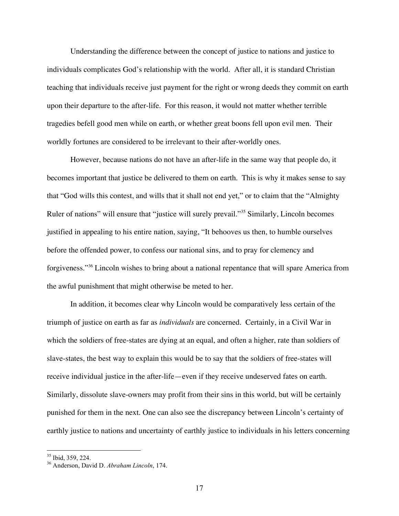Understanding the difference between the concept of justice to nations and justice to individuals complicates God's relationship with the world. After all, it is standard Christian teaching that individuals receive just payment for the right or wrong deeds they commit on earth upon their departure to the after-life. For this reason, it would not matter whether terrible tragedies befell good men while on earth, or whether great boons fell upon evil men. Their worldly fortunes are considered to be irrelevant to their after-worldly ones.

However, because nations do not have an after-life in the same way that people do, it becomes important that justice be delivered to them on earth. This is why it makes sense to say that "God wills this contest, and wills that it shall not end yet," or to claim that the "Almighty Ruler of nations" will ensure that "justice will surely prevail."35 Similarly, Lincoln becomes justified in appealing to his entire nation, saying, "It behooves us then, to humble ourselves before the offended power, to confess our national sins, and to pray for clemency and forgiveness."36 Lincoln wishes to bring about a national repentance that will spare America from the awful punishment that might otherwise be meted to her.

In addition, it becomes clear why Lincoln would be comparatively less certain of the triumph of justice on earth as far as *individuals* are concerned. Certainly, in a Civil War in which the soldiers of free-states are dying at an equal, and often a higher, rate than soldiers of slave-states, the best way to explain this would be to say that the soldiers of free-states will receive individual justice in the after-life—even if they receive undeserved fates on earth. Similarly, dissolute slave-owners may profit from their sins in this world, but will be certainly punished for them in the next. One can also see the discrepancy between Lincoln's certainty of earthly justice to nations and uncertainty of earthly justice to individuals in his letters concerning

<sup>35</sup> Ibid, 359, 224. <sup>36</sup> Anderson, David D. *Abraham Lincoln*, 174.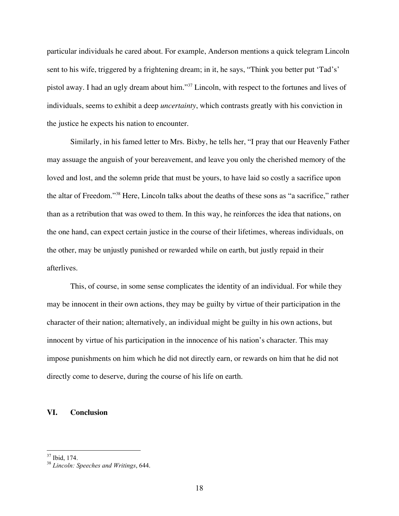particular individuals he cared about. For example, Anderson mentions a quick telegram Lincoln sent to his wife, triggered by a frightening dream; in it, he says, "Think you better put 'Tad's' pistol away. I had an ugly dream about him."37 Lincoln, with respect to the fortunes and lives of individuals, seems to exhibit a deep *uncertainty*, which contrasts greatly with his conviction in the justice he expects his nation to encounter.

Similarly, in his famed letter to Mrs. Bixby, he tells her, "I pray that our Heavenly Father may assuage the anguish of your bereavement, and leave you only the cherished memory of the loved and lost, and the solemn pride that must be yours, to have laid so costly a sacrifice upon the altar of Freedom."38 Here, Lincoln talks about the deaths of these sons as "a sacrifice," rather than as a retribution that was owed to them. In this way, he reinforces the idea that nations, on the one hand, can expect certain justice in the course of their lifetimes, whereas individuals, on the other, may be unjustly punished or rewarded while on earth, but justly repaid in their afterlives.

This, of course, in some sense complicates the identity of an individual. For while they may be innocent in their own actions, they may be guilty by virtue of their participation in the character of their nation; alternatively, an individual might be guilty in his own actions, but innocent by virtue of his participation in the innocence of his nation's character. This may impose punishments on him which he did not directly earn, or rewards on him that he did not directly come to deserve, during the course of his life on earth.

# **VI. Conclusion**

<sup>37</sup> Ibid, 174. <sup>38</sup> *Lincoln: Speeches and Writings*, 644.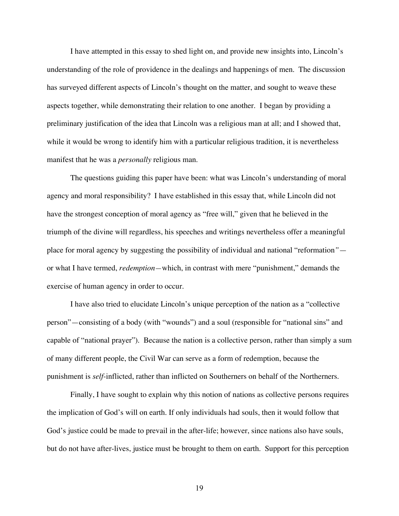I have attempted in this essay to shed light on, and provide new insights into, Lincoln's understanding of the role of providence in the dealings and happenings of men. The discussion has surveyed different aspects of Lincoln's thought on the matter, and sought to weave these aspects together, while demonstrating their relation to one another. I began by providing a preliminary justification of the idea that Lincoln was a religious man at all; and I showed that, while it would be wrong to identify him with a particular religious tradition, it is nevertheless manifest that he was a *personally* religious man.

The questions guiding this paper have been: what was Lincoln's understanding of moral agency and moral responsibility? I have established in this essay that, while Lincoln did not have the strongest conception of moral agency as "free will," given that he believed in the triumph of the divine will regardless, his speeches and writings nevertheless offer a meaningful place for moral agency by suggesting the possibility of individual and national "reformation*"* or what I have termed, *redemption—*which, in contrast with mere "punishment," demands the exercise of human agency in order to occur.

I have also tried to elucidate Lincoln's unique perception of the nation as a "collective person"—consisting of a body (with "wounds") and a soul (responsible for "national sins" and capable of "national prayer"). Because the nation is a collective person, rather than simply a sum of many different people, the Civil War can serve as a form of redemption, because the punishment is *self*-inflicted, rather than inflicted on Southerners on behalf of the Northerners.

Finally, I have sought to explain why this notion of nations as collective persons requires the implication of God's will on earth. If only individuals had souls, then it would follow that God's justice could be made to prevail in the after-life; however, since nations also have souls, but do not have after-lives, justice must be brought to them on earth. Support for this perception

19